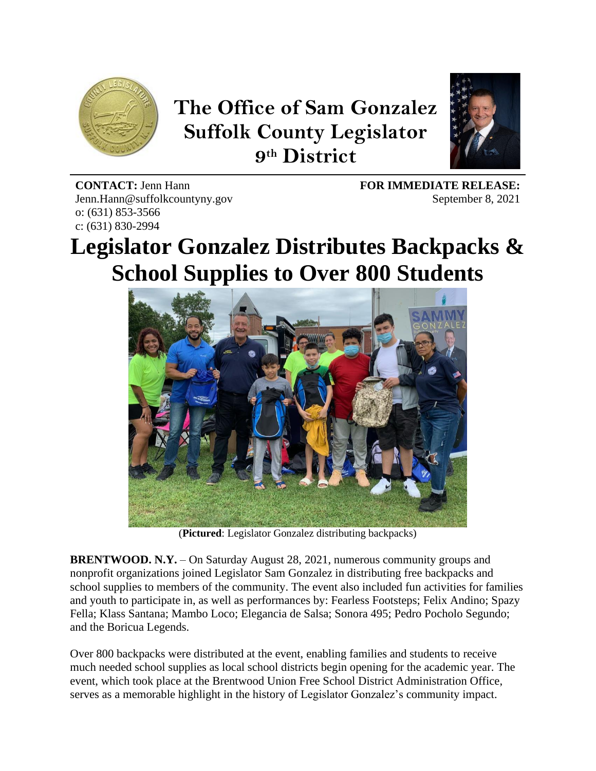

## **The Office of Sam Gonzalez Suffolk County Legislator 9 th District**



**CONTACT:** Jenn Hann Jenn.Hann@suffolkcountyny.gov o: (631) 853-3566 c: (631) 830-2994

**FOR IMMEDIATE RELEASE:**  September 8, 2021

## **Legislator Gonzalez Distributes Backpacks & School Supplies to Over 800 Students**



(**Pictured**: Legislator Gonzalez distributing backpacks)

**BRENTWOOD. N.Y.** – On Saturday August 28, 2021, numerous community groups and nonprofit organizations joined Legislator Sam Gonzalez in distributing free backpacks and school supplies to members of the community. The event also included fun activities for families and youth to participate in, as well as performances by: Fearless Footsteps; Felix Andino; Spazy Fella; Klass Santana; Mambo Loco; Elegancia de Salsa; Sonora 495; Pedro Pocholo Segundo; and the Boricua Legends.

Over 800 backpacks were distributed at the event, enabling families and students to receive much needed school supplies as local school districts begin opening for the academic year. The event, which took place at the Brentwood Union Free School District Administration Office, serves as a memorable highlight in the history of Legislator Gonzalez's community impact.